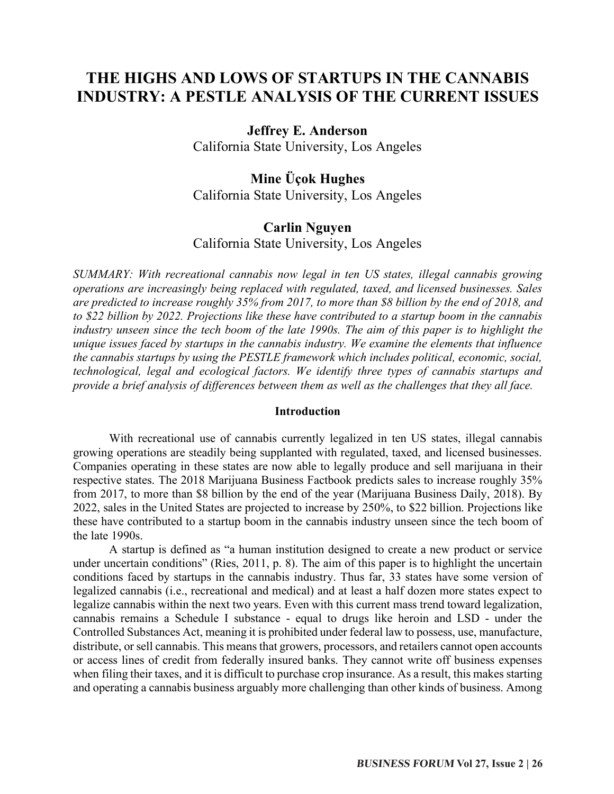# **THE HIGHS AND LOWS OF STARTUPS IN THE CANNABIS INDUSTRY: A PESTLE ANALYSIS OF THE CURRENT ISSUES**

# **Jeffrey E. Anderson**

California State University, Los Angeles

# **Mine Üçok Hughes**

California State University, Los Angeles

# **Carlin Nguyen**

California State University, Los Angeles

*SUMMARY: With recreational cannabis now legal in ten US states, illegal cannabis growing operations are increasingly being replaced with regulated, taxed, and licensed businesses. Sales are predicted to increase roughly 35% from 2017, to more than \$8 billion by the end of 2018, and to \$22 billion by 2022. Projections like these have contributed to a startup boom in the cannabis industry unseen since the tech boom of the late 1990s. The aim of this paper is to highlight the unique issues faced by startups in the cannabis industry. We examine the elements that influence the cannabis startups by using the PESTLE framework which includes political, economic, social, technological, legal and ecological factors. We identify three types of cannabis startups and provide a brief analysis of differences between them as well as the challenges that they all face.* 

#### **Introduction**

With recreational use of cannabis currently legalized in ten US states, illegal cannabis growing operations are steadily being supplanted with regulated, taxed, and licensed businesses. Companies operating in these states are now able to legally produce and sell marijuana in their respective states. The 2018 Marijuana Business Factbook predicts sales to increase roughly 35% from 2017, to more than \$8 billion by the end of the year (Marijuana Business Daily, 2018). By 2022, sales in the United States are projected to increase by 250%, to \$22 billion. Projections like these have contributed to a startup boom in the cannabis industry unseen since the tech boom of the late 1990s.

A startup is defined as "a human institution designed to create a new product or service under uncertain conditions" (Ries, 2011, p. 8). The aim of this paper is to highlight the uncertain conditions faced by startups in the cannabis industry. Thus far, 33 states have some version of legalized cannabis (i.e., recreational and medical) and at least a half dozen more states expect to legalize cannabis within the next two years. Even with this current mass trend toward legalization, cannabis remains a Schedule I substance - equal to drugs like heroin and LSD - under the Controlled Substances Act, meaning it is prohibited under federal law to possess, use, manufacture, distribute, or sell cannabis. This means that growers, processors, and retailers cannot open accounts or access lines of credit from federally insured banks. They cannot write off business expenses when filing their taxes, and it is difficult to purchase crop insurance. As a result, this makes starting and operating a cannabis business arguably more challenging than other kinds of business. Among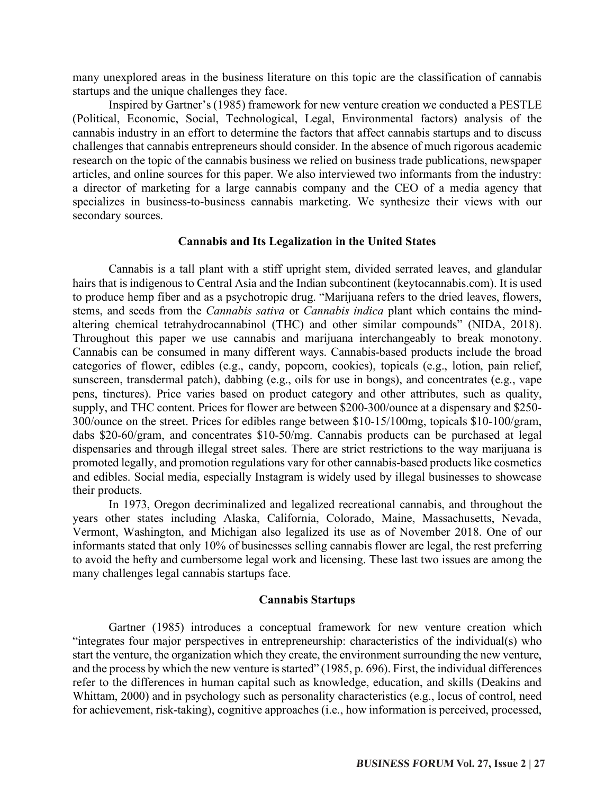many unexplored areas in the business literature on this topic are the classification of cannabis startups and the unique challenges they face.

Inspired by Gartner's (1985) framework for new venture creation we conducted a PESTLE (Political, Economic, Social, Technological, Legal, Environmental factors) analysis of the cannabis industry in an effort to determine the factors that affect cannabis startups and to discuss challenges that cannabis entrepreneurs should consider. In the absence of much rigorous academic research on the topic of the cannabis business we relied on business trade publications, newspaper articles, and online sources for this paper. We also interviewed two informants from the industry: a director of marketing for a large cannabis company and the CEO of a media agency that specializes in business-to-business cannabis marketing. We synthesize their views with our secondary sources.

### **Cannabis and Its Legalization in the United States**

Cannabis is a tall plant with a stiff upright stem, divided serrated leaves, and glandular hairs that is indigenous to Central Asia and the Indian subcontinent (keytocannabis.com). It is used to produce hemp fiber and as a psychotropic drug. "Marijuana refers to the dried leaves, flowers, stems, and seeds from the *Cannabis sativa* or *Cannabis indica* plant which contains the mindaltering chemical tetrahydrocannabinol (THC) and other similar compounds" (NIDA, 2018). Throughout this paper we use cannabis and marijuana interchangeably to break monotony. Cannabis can be consumed in many different ways. Cannabis-based products include the broad categories of flower, edibles (e.g., candy, popcorn, cookies), topicals (e.g., lotion, pain relief, sunscreen, transdermal patch), dabbing (e.g., oils for use in bongs), and concentrates (e.g., vape pens, tinctures). Price varies based on product category and other attributes, such as quality, supply, and THC content. Prices for flower are between \$200-300/ounce at a dispensary and \$250- 300/ounce on the street. Prices for edibles range between \$10-15/100mg, topicals \$10-100/gram, dabs \$20-60/gram, and concentrates \$10-50/mg. Cannabis products can be purchased at legal dispensaries and through illegal street sales. There are strict restrictions to the way marijuana is promoted legally, and promotion regulations vary for other cannabis-based products like cosmetics and edibles. Social media, especially Instagram is widely used by illegal businesses to showcase their products.

In 1973, Oregon decriminalized and legalized recreational cannabis, and throughout the years other states including Alaska, California, Colorado, Maine, Massachusetts, Nevada, Vermont, Washington, and Michigan also legalized its use as of November 2018. One of our informants stated that only 10% of businesses selling cannabis flower are legal, the rest preferring to avoid the hefty and cumbersome legal work and licensing. These last two issues are among the many challenges legal cannabis startups face.

#### **Cannabis Startups**

Gartner (1985) introduces a conceptual framework for new venture creation which "integrates four major perspectives in entrepreneurship: characteristics of the individual(s) who start the venture, the organization which they create, the environment surrounding the new venture, and the process by which the new venture is started" (1985, p. 696). First, the individual differences refer to the differences in human capital such as knowledge, education, and skills (Deakins and Whittam, 2000) and in psychology such as personality characteristics (e.g., locus of control, need for achievement, risk-taking), cognitive approaches (i.e., how information is perceived, processed,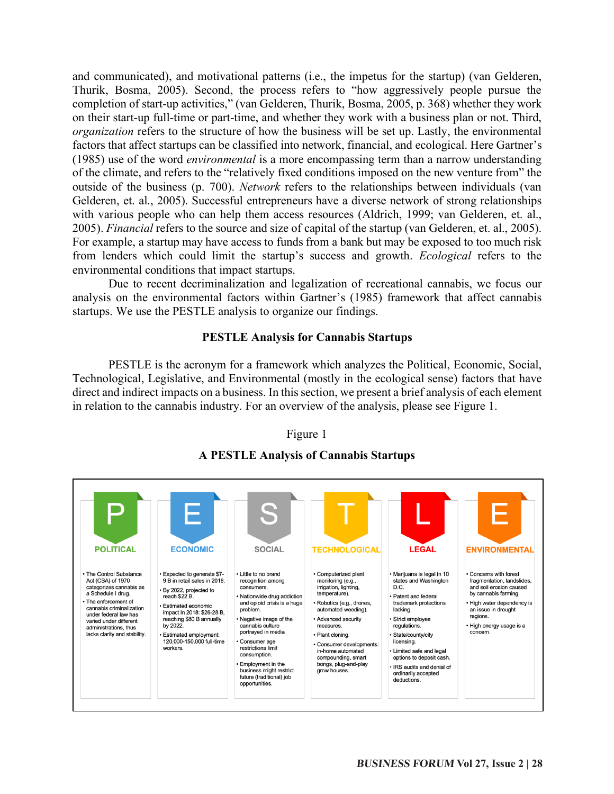and communicated), and motivational patterns (i.e., the impetus for the startup) (van Gelderen, Thurik, Bosma, 2005). Second, the process refers to "how aggressively people pursue the completion of start-up activities," (van Gelderen, Thurik, Bosma, 2005, p. 368) whether they work on their start-up full-time or part-time, and whether they work with a business plan or not. Third, *organization* refers to the structure of how the business will be set up. Lastly, the environmental factors that affect startups can be classified into network, financial, and ecological. Here Gartner's (1985) use of the word *environmental* is a more encompassing term than a narrow understanding of the climate, and refers to the "relatively fixed conditions imposed on the new venture from" the outside of the business (p. 700). *Network* refers to the relationships between individuals (van Gelderen, et. al., 2005). Successful entrepreneurs have a diverse network of strong relationships with various people who can help them access resources (Aldrich, 1999; van Gelderen, et. al., 2005). *Financial* refers to the source and size of capital of the startup (van Gelderen, et. al., 2005). For example, a startup may have access to funds from a bank but may be exposed to too much risk from lenders which could limit the startup's success and growth. *Ecological* refers to the environmental conditions that impact startups.

Due to recent decriminalization and legalization of recreational cannabis, we focus our analysis on the environmental factors within Gartner's (1985) framework that affect cannabis startups. We use the PESTLE analysis to organize our findings.

### **PESTLE Analysis for Cannabis Startups**

PESTLE is the acronym for a framework which analyzes the Political, Economic, Social, Technological, Legislative, and Environmental (mostly in the ecological sense) factors that have direct and indirect impacts on a business. In this section, we present a brief analysis of each element in relation to the cannabis industry. For an overview of the analysis, please see Figure 1.

### Figure 1



# **A PESTLE Analysis of Cannabis Startups**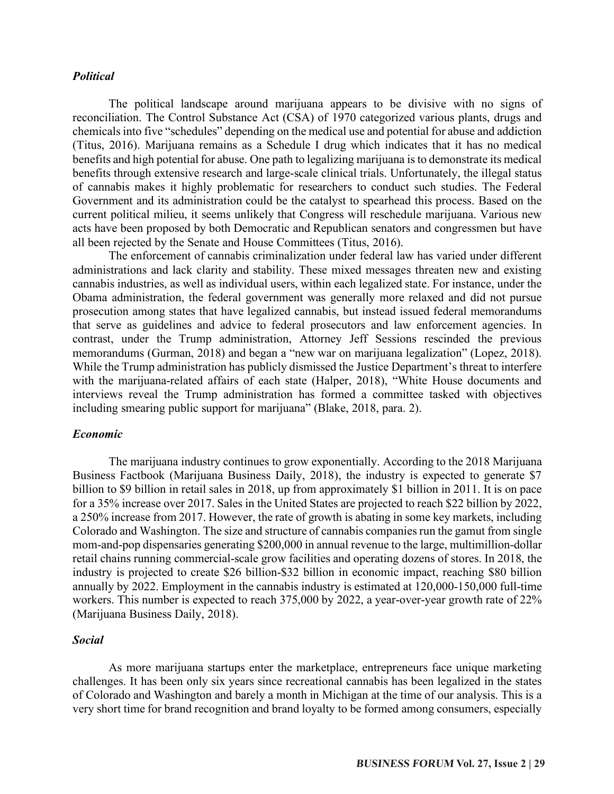### *Political*

The political landscape around marijuana appears to be divisive with no signs of reconciliation. The Control Substance Act (CSA) of 1970 categorized various plants, drugs and chemicals into five "schedules" depending on the medical use and potential for abuse and addiction (Titus, 2016). Marijuana remains as a Schedule I drug which indicates that it has no medical benefits and high potential for abuse. One path to legalizing marijuana is to demonstrate its medical benefits through extensive research and large-scale clinical trials. Unfortunately, the illegal status of cannabis makes it highly problematic for researchers to conduct such studies. The Federal Government and its administration could be the catalyst to spearhead this process. Based on the current political milieu, it seems unlikely that Congress will reschedule marijuana. Various new acts have been proposed by both Democratic and Republican senators and congressmen but have all been rejected by the Senate and House Committees (Titus, 2016).

The enforcement of cannabis criminalization under federal law has varied under different administrations and lack clarity and stability. These mixed messages threaten new and existing cannabis industries, as well as individual users, within each legalized state. For instance, under the Obama administration, the federal government was generally more relaxed and did not pursue prosecution among states that have legalized cannabis, but instead issued federal memorandums that serve as guidelines and advice to federal prosecutors and law enforcement agencies. In contrast, under the Trump administration, Attorney Jeff Sessions rescinded the previous memorandums (Gurman, 2018) and began a "new war on marijuana legalization" (Lopez, 2018). While the Trump administration has publicly dismissed the Justice Department's threat to interfere with the marijuana-related affairs of each state (Halper, 2018), "White House documents and interviews reveal the Trump administration has formed a committee tasked with objectives including smearing public support for marijuana" (Blake, 2018, para. 2).

#### *Economic*

The marijuana industry continues to grow exponentially. According to the 2018 Marijuana Business Factbook (Marijuana Business Daily, 2018), the industry is expected to generate \$7 billion to \$9 billion in retail sales in 2018, up from approximately \$1 billion in 2011. It is on pace for a 35% increase over 2017. Sales in the United States are projected to reach \$22 billion by 2022, a 250% increase from 2017. However, the rate of growth is abating in some key markets, including Colorado and Washington. The size and structure of cannabis companies run the gamut from single mom-and-pop dispensaries generating \$200,000 in annual revenue to the large, multimillion-dollar retail chains running commercial-scale grow facilities and operating dozens of stores. In 2018, the industry is projected to create \$26 billion-\$32 billion in economic impact, reaching \$80 billion annually by 2022. Employment in the cannabis industry is estimated at 120,000-150,000 full-time workers. This number is expected to reach 375,000 by 2022, a year-over-year growth rate of 22% (Marijuana Business Daily, 2018).

#### *Social*

As more marijuana startups enter the marketplace, entrepreneurs face unique marketing challenges. It has been only six years since recreational cannabis has been legalized in the states of Colorado and Washington and barely a month in Michigan at the time of our analysis. This is a very short time for brand recognition and brand loyalty to be formed among consumers, especially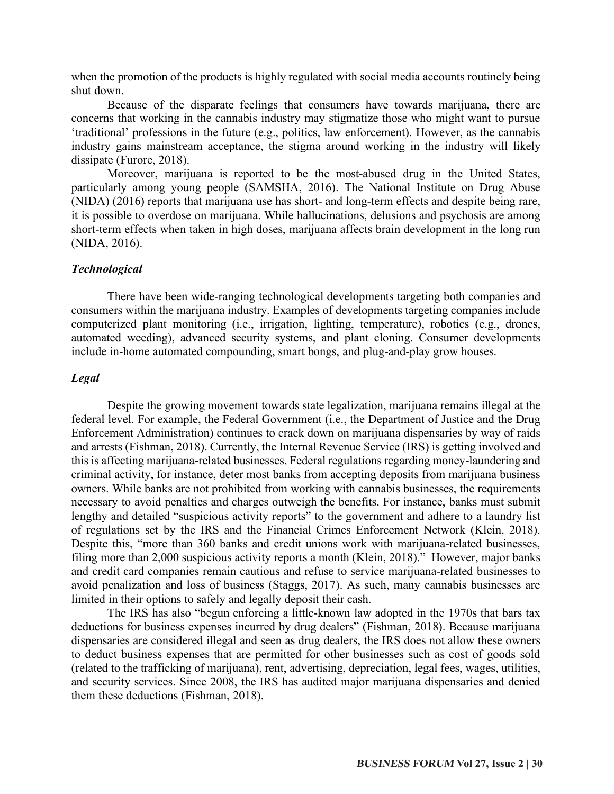when the promotion of the products is highly regulated with social media accounts routinely being shut down.

Because of the disparate feelings that consumers have towards marijuana, there are concerns that working in the cannabis industry may stigmatize those who might want to pursue 'traditional' professions in the future (e.g., politics, law enforcement). However, as the cannabis industry gains mainstream acceptance, the stigma around working in the industry will likely dissipate (Furore, 2018).

Moreover, marijuana is reported to be the most-abused drug in the United States, particularly among young people (SAMSHA, 2016). The National Institute on Drug Abuse (NIDA) (2016) reports that marijuana use has short- and long-term effects and despite being rare, it is possible to overdose on marijuana. While hallucinations, delusions and psychosis are among short-term effects when taken in high doses, marijuana affects brain development in the long run (NIDA, 2016).

#### *Technological*

There have been wide-ranging technological developments targeting both companies and consumers within the marijuana industry. Examples of developments targeting companies include computerized plant monitoring (i.e., irrigation, lighting, temperature), robotics (e.g., drones, automated weeding), advanced security systems, and plant cloning. Consumer developments include in-home automated compounding, smart bongs, and plug-and-play grow houses.

### *Legal*

Despite the growing movement towards state legalization, marijuana remains illegal at the federal level. For example, the Federal Government (i.e., the Department of Justice and the Drug Enforcement Administration) continues to crack down on marijuana dispensaries by way of raids and arrests (Fishman, 2018). Currently, the Internal Revenue Service (IRS) is getting involved and this is affecting marijuana-related businesses. Federal regulations regarding money-laundering and criminal activity, for instance, deter most banks from accepting deposits from marijuana business owners. While banks are not prohibited from working with cannabis businesses, the requirements necessary to avoid penalties and charges outweigh the benefits. For instance, banks must submit lengthy and detailed "suspicious activity reports" to the government and adhere to a laundry list of regulations set by the IRS and the Financial Crimes Enforcement Network (Klein, 2018). Despite this, "more than 360 banks and credit unions work with marijuana-related businesses, filing more than 2,000 suspicious activity reports a month (Klein, 2018)." However, major banks and credit card companies remain cautious and refuse to service marijuana-related businesses to avoid penalization and loss of business (Staggs, 2017). As such, many cannabis businesses are limited in their options to safely and legally deposit their cash.

The IRS has also "begun enforcing a little-known law adopted in the 1970s that bars tax deductions for business expenses incurred by drug dealers" (Fishman, 2018). Because marijuana dispensaries are considered illegal and seen as drug dealers, the IRS does not allow these owners to deduct business expenses that are permitted for other businesses such as cost of goods sold (related to the trafficking of marijuana), rent, advertising, depreciation, legal fees, wages, utilities, and security services. Since 2008, the IRS has audited major marijuana dispensaries and denied them these deductions (Fishman, 2018).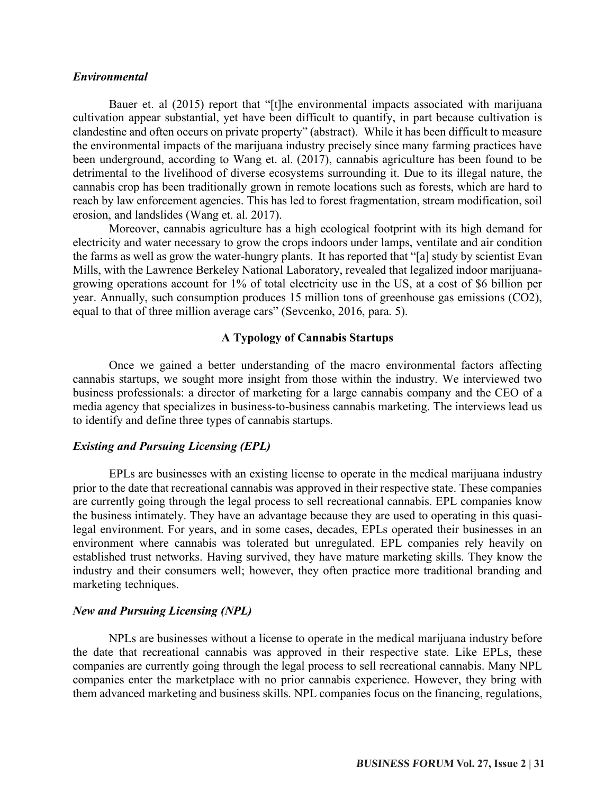#### *Environmental*

Bauer et. al (2015) report that "[t]he environmental impacts associated with marijuana cultivation appear substantial, yet have been difficult to quantify, in part because cultivation is clandestine and often occurs on private property" (abstract). While it has been difficult to measure the environmental impacts of the marijuana industry precisely since many farming practices have been underground, according to Wang et. al. (2017), cannabis agriculture has been found to be detrimental to the livelihood of diverse ecosystems surrounding it. Due to its illegal nature, the cannabis crop has been traditionally grown in remote locations such as forests, which are hard to reach by law enforcement agencies. This has led to forest fragmentation, stream modification, soil erosion, and landslides (Wang et. al. 2017).

Moreover, cannabis agriculture has a high ecological footprint with its high demand for electricity and water necessary to grow the crops indoors under lamps, ventilate and air condition the farms as well as grow the water-hungry plants. It has reported that "[a] study by scientist Evan Mills, with the Lawrence Berkeley National Laboratory, revealed that legalized indoor marijuanagrowing operations account for 1% of total electricity use in the US, at a cost of \$6 billion per year. Annually, such consumption produces 15 million tons of greenhouse gas emissions (CO2), equal to that of three million average cars" (Sevcenko, 2016, para. 5).

### **A Typology of Cannabis Startups**

Once we gained a better understanding of the macro environmental factors affecting cannabis startups, we sought more insight from those within the industry. We interviewed two business professionals: a director of marketing for a large cannabis company and the CEO of a media agency that specializes in business-to-business cannabis marketing. The interviews lead us to identify and define three types of cannabis startups.

#### *Existing and Pursuing Licensing (EPL)*

EPLs are businesses with an existing license to operate in the medical marijuana industry prior to the date that recreational cannabis was approved in their respective state. These companies are currently going through the legal process to sell recreational cannabis. EPL companies know the business intimately. They have an advantage because they are used to operating in this quasilegal environment. For years, and in some cases, decades, EPLs operated their businesses in an environment where cannabis was tolerated but unregulated. EPL companies rely heavily on established trust networks. Having survived, they have mature marketing skills. They know the industry and their consumers well; however, they often practice more traditional branding and marketing techniques.

#### *New and Pursuing Licensing (NPL)*

NPLs are businesses without a license to operate in the medical marijuana industry before the date that recreational cannabis was approved in their respective state. Like EPLs, these companies are currently going through the legal process to sell recreational cannabis. Many NPL companies enter the marketplace with no prior cannabis experience. However, they bring with them advanced marketing and business skills. NPL companies focus on the financing, regulations,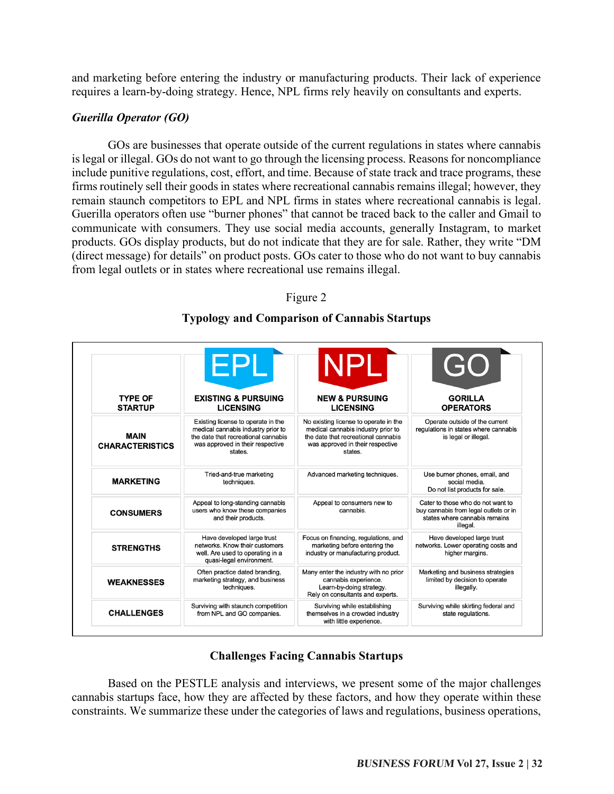and marketing before entering the industry or manufacturing products. Their lack of experience requires a learn-by-doing strategy. Hence, NPL firms rely heavily on consultants and experts.

# *Guerilla Operator (GO)*

GOs are businesses that operate outside of the current regulations in states where cannabis is legal or illegal. GOs do not want to go through the licensing process. Reasons for noncompliance include punitive regulations, cost, effort, and time. Because of state track and trace programs, these firms routinely sell their goods in states where recreational cannabis remains illegal; however, they remain staunch competitors to EPL and NPL firms in states where recreational cannabis is legal. Guerilla operators often use "burner phones" that cannot be traced back to the caller and Gmail to communicate with consumers. They use social media accounts, generally Instagram, to market products. GOs display products, but do not indicate that they are for sale. Rather, they write "DM (direct message) for details" on product posts. GOs cater to those who do not want to buy cannabis from legal outlets or in states where recreational use remains illegal.

# Figure 2

# **Typology and Comparison of Cannabis Startups**

| <b>TYPE OF</b><br><b>STARTUP</b>      | <b>EPL</b>                                                                                                                                                     | <b>NPLI</b>                                                                                                                                                       | GO                                                                                                                      |
|---------------------------------------|----------------------------------------------------------------------------------------------------------------------------------------------------------------|-------------------------------------------------------------------------------------------------------------------------------------------------------------------|-------------------------------------------------------------------------------------------------------------------------|
|                                       | <b>EXISTING &amp; PURSUING</b><br><b>LICENSING</b>                                                                                                             | <b>NEW &amp; PURSUING</b><br><b>LICENSING</b>                                                                                                                     | <b>GORILLA</b><br><b>OPERATORS</b>                                                                                      |
| <b>MAIN</b><br><b>CHARACTERISTICS</b> | Existing license to operate in the<br>medical cannabis industry prior to<br>the date that recreational cannabis<br>was approved in their respective<br>states. | No existing license to operate in the<br>medical cannabis industry prior to<br>the date that recreational cannabis<br>was approved in their respective<br>states. | Operate outside of the current<br>regulations in states where cannabis<br>is legal or illegal.                          |
| <b>MARKETING</b>                      | Tried-and-true marketing<br>techniques.                                                                                                                        | Advanced marketing techniques.                                                                                                                                    | Use burner phones, email, and<br>social media.<br>Do not list products for sale.                                        |
| <b>CONSUMERS</b>                      | Appeal to long-standing cannabis<br>users who know these companies<br>and their products.                                                                      | Appeal to consumers new to<br>cannabis.                                                                                                                           | Cater to those who do not want to<br>buy cannabis from legal outlets or in<br>states where cannabis remains<br>illegal. |
| <b>STRENGTHS</b>                      | Have developed large trust<br>networks. Know their customers<br>well. Are used to operating in a<br>quasi-legal environment.                                   | Focus on financing, regulations, and<br>marketing before entering the<br>industry or manufacturing product.                                                       | Have developed large trust<br>networks. Lower operating costs and<br>higher margins.                                    |
| <b>WEAKNESSES</b>                     | Often practice dated branding,<br>marketing strategy, and business<br>techniques.                                                                              | Many enter the industry with no prior<br>cannabis experience.<br>Learn-by-doing strategy.<br>Rely on consultants and experts.                                     | Marketing and business strategies<br>limited by decision to operate<br>illegally.                                       |
| <b>CHALLENGES</b>                     | Surviving with staunch competition<br>from NPL and GO companies.                                                                                               | Surviving while establishing<br>themselves in a crowded industry<br>with little experience.                                                                       | Surviving while skirting federal and<br>state regulations.                                                              |

# **Challenges Facing Cannabis Startups**

Based on the PESTLE analysis and interviews, we present some of the major challenges cannabis startups face, how they are affected by these factors, and how they operate within these constraints. We summarize these under the categories of laws and regulations, business operations,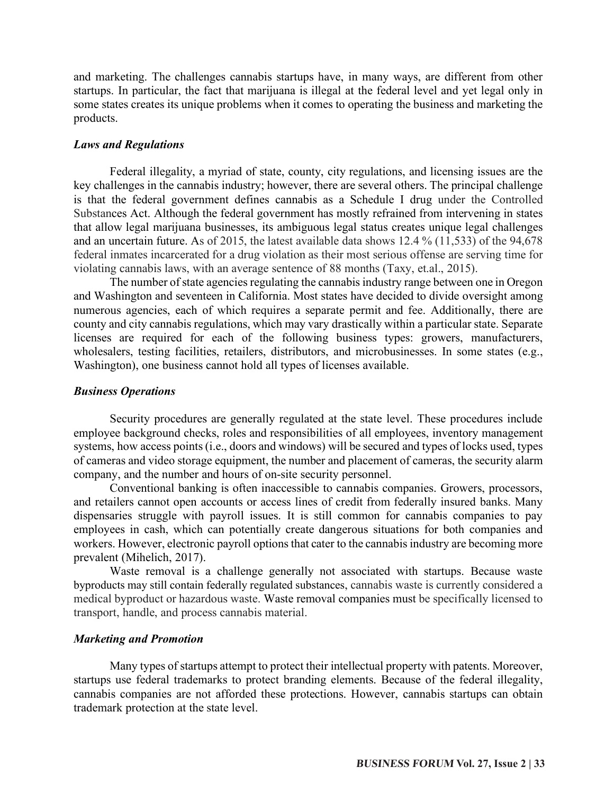and marketing. The challenges cannabis startups have, in many ways, are different from other startups. In particular, the fact that marijuana is illegal at the federal level and yet legal only in some states creates its unique problems when it comes to operating the business and marketing the products.

### *Laws and Regulations*

Federal illegality, a myriad of state, county, city regulations, and licensing issues are the key challenges in the cannabis industry; however, there are several others. The principal challenge is that the federal government defines cannabis as a Schedule I drug under the Controlled Substances Act. Although the federal government has mostly refrained from intervening in states that allow legal marijuana businesses, its ambiguous legal status creates unique legal challenges and an uncertain future. As of 2015, the latest available data shows 12.4 % (11,533) of the 94,678 federal inmates incarcerated for a drug violation as their most serious offense are serving time for violating cannabis laws, with an average sentence of 88 months (Taxy, et.al., 2015).

The number of state agencies regulating the cannabis industry range between one in Oregon and Washington and seventeen in California. Most states have decided to divide oversight among numerous agencies, each of which requires a separate permit and fee. Additionally, there are county and city cannabis regulations, which may vary drastically within a particular state. Separate licenses are required for each of the following business types: growers, manufacturers, wholesalers, testing facilities, retailers, distributors, and microbusinesses. In some states (e.g., Washington), one business cannot hold all types of licenses available.

### *Business Operations*

Security procedures are generally regulated at the state level. These procedures include employee background checks, roles and responsibilities of all employees, inventory management systems, how access points (i.e., doors and windows) will be secured and types of locks used, types of cameras and video storage equipment, the number and placement of cameras, the security alarm company, and the number and hours of on-site security personnel.

Conventional banking is often inaccessible to cannabis companies. Growers, processors, and retailers cannot open accounts or access lines of credit from federally insured banks. Many dispensaries struggle with payroll issues. It is still common for cannabis companies to pay employees in cash, which can potentially create dangerous situations for both companies and workers. However, electronic payroll options that cater to the cannabis industry are becoming more prevalent (Mihelich, 2017).

Waste removal is a challenge generally not associated with startups. Because waste byproducts may still contain federally regulated substances, cannabis waste is currently considered a medical byproduct or hazardous waste. Waste removal companies must be specifically licensed to transport, handle, and process cannabis material.

### *Marketing and Promotion*

Many types of startups attempt to protect their intellectual property with patents. Moreover, startups use federal trademarks to protect branding elements. Because of the federal illegality, cannabis companies are not afforded these protections. However, cannabis startups can obtain trademark protection at the state level.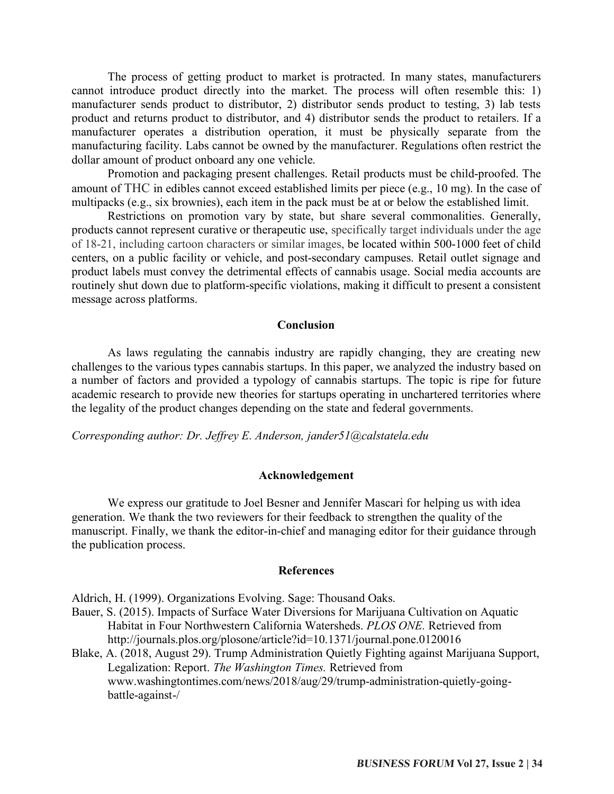The process of getting product to market is protracted. In many states, manufacturers cannot introduce product directly into the market. The process will often resemble this: 1) manufacturer sends product to distributor, 2) distributor sends product to testing, 3) lab tests product and returns product to distributor, and 4) distributor sends the product to retailers. If a manufacturer operates a distribution operation, it must be physically separate from the manufacturing facility. Labs cannot be owned by the manufacturer. Regulations often restrict the dollar amount of product onboard any one vehicle.

Promotion and packaging present challenges. Retail products must be child-proofed. The amount of THC in edibles cannot exceed established limits per piece (e.g., 10 mg). In the case of multipacks (e.g., six brownies), each item in the pack must be at or below the established limit.

Restrictions on promotion vary by state, but share several commonalities. Generally, products cannot represent curative or therapeutic use, specifically target individuals under the age of 18-21, including cartoon characters or similar images, be located within 500-1000 feet of child centers, on a public facility or vehicle, and post-secondary campuses. Retail outlet signage and product labels must convey the detrimental effects of cannabis usage. Social media accounts are routinely shut down due to platform-specific violations, making it difficult to present a consistent message across platforms.

#### **Conclusion**

As laws regulating the cannabis industry are rapidly changing, they are creating new challenges to the various types cannabis startups. In this paper, we analyzed the industry based on a number of factors and provided a typology of cannabis startups. The topic is ripe for future academic research to provide new theories for startups operating in unchartered territories where the legality of the product changes depending on the state and federal governments.

*Corresponding author: Dr. Jeffrey E. Anderson, jander51@calstatela.edu*

#### **Acknowledgement**

We express our gratitude to Joel Besner and Jennifer Mascari for helping us with idea generation. We thank the two reviewers for their feedback to strengthen the quality of the manuscript. Finally, we thank the editor-in-chief and managing editor for their guidance through the publication process.

#### **References**

Aldrich, H. (1999). Organizations Evolving. Sage: Thousand Oaks.

- Bauer, S. (2015). Impacts of Surface Water Diversions for Marijuana Cultivation on Aquatic Habitat in Four Northwestern California Watersheds. *PLOS ONE.* Retrieved from http://journals.plos.org/plosone/article?id=10.1371/journal.pone.0120016
- Blake, A. (2018, August 29). Trump Administration Quietly Fighting against Marijuana Support, Legalization: Report. *The Washington Times.* Retrieved from www.washingtontimes.com/news/2018/aug/29/trump-administration-quietly-goingbattle-against-/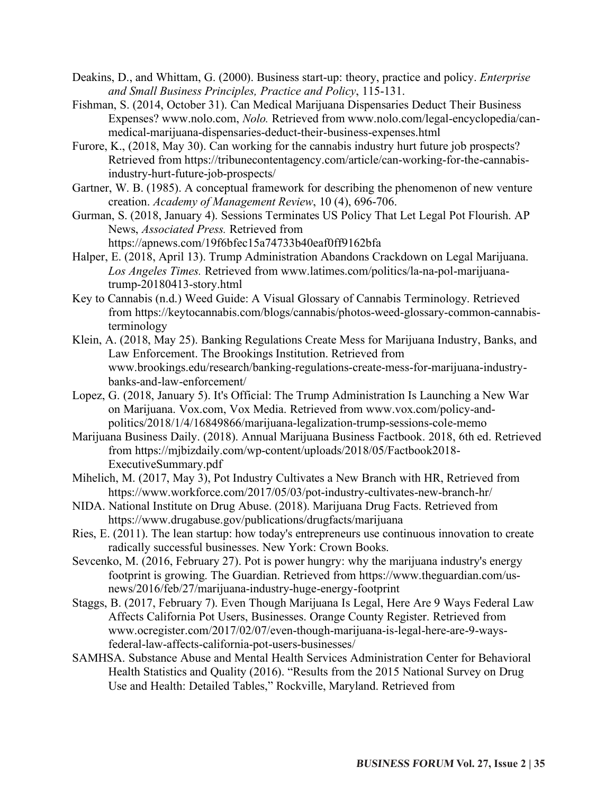- Deakins, D., and Whittam, G. (2000). Business start-up: theory, practice and policy. *Enterprise and Small Business Principles, Practice and Policy*, 115-131.
- Fishman, S. (2014, October 31). Can Medical Marijuana Dispensaries Deduct Their Business Expenses? www.nolo.com, *Nolo.* Retrieved from www.nolo.com/legal-encyclopedia/canmedical-marijuana-dispensaries-deduct-their-business-expenses.html
- Furore, K., (2018, May 30). Can working for the cannabis industry hurt future job prospects? Retrieved from https://tribunecontentagency.com/article/can-working-for-the-cannabisindustry-hurt-future-job-prospects/
- Gartner, W. B. (1985). A conceptual framework for describing the phenomenon of new venture creation. *Academy of Management Review*, 10 (4), 696-706.
- Gurman, S. (2018, January 4). Sessions Terminates US Policy That Let Legal Pot Flourish. AP News, *Associated Press.* Retrieved from
	- https://apnews.com/19f6bfec15a74733b40eaf0ff9162bfa
- Halper, E. (2018, April 13). Trump Administration Abandons Crackdown on Legal Marijuana. *Los Angeles Times.* Retrieved from www.latimes.com/politics/la-na-pol-marijuanatrump-20180413-story.html
- Key to Cannabis (n.d.) Weed Guide: A Visual Glossary of Cannabis Terminology. Retrieved from https://keytocannabis.com/blogs/cannabis/photos-weed-glossary-common-cannabisterminology
- Klein, A. (2018, May 25). Banking Regulations Create Mess for Marijuana Industry, Banks, and Law Enforcement. The Brookings Institution. Retrieved from www.brookings.edu/research/banking-regulations-create-mess-for-marijuana-industrybanks-and-law-enforcement/
- Lopez, G. (2018, January 5). It's Official: The Trump Administration Is Launching a New War on Marijuana. Vox.com, Vox Media. Retrieved from www.vox.com/policy-andpolitics/2018/1/4/16849866/marijuana-legalization-trump-sessions-cole-memo
- Marijuana Business Daily. (2018). Annual Marijuana Business Factbook. 2018, 6th ed. Retrieved from https://mjbizdaily.com/wp-content/uploads/2018/05/Factbook2018- ExecutiveSummary.pdf
- Mihelich, M. (2017, May 3), Pot Industry Cultivates a New Branch with HR, Retrieved from https://www.workforce.com/2017/05/03/pot-industry-cultivates-new-branch-hr/
- NIDA. National Institute on Drug Abuse. (2018). Marijuana Drug Facts. Retrieved from https://www.drugabuse.gov/publications/drugfacts/marijuana
- Ries, E. (2011). The lean startup: how today's entrepreneurs use continuous innovation to create radically successful businesses. New York: Crown Books.
- Sevcenko, M. (2016, February 27). Pot is power hungry: why the marijuana industry's energy footprint is growing. The Guardian. Retrieved from https://www.theguardian.com/usnews/2016/feb/27/marijuana-industry-huge-energy-footprint
- Staggs, B. (2017, February 7). Even Though Marijuana Is Legal, Here Are 9 Ways Federal Law Affects California Pot Users, Businesses. Orange County Register. Retrieved from www.ocregister.com/2017/02/07/even-though-marijuana-is-legal-here-are-9-waysfederal-law-affects-california-pot-users-businesses/
- SAMHSA. Substance Abuse and Mental Health Services Administration Center for Behavioral Health Statistics and Quality (2016). "Results from the 2015 National Survey on Drug Use and Health: Detailed Tables," Rockville, Maryland. Retrieved from